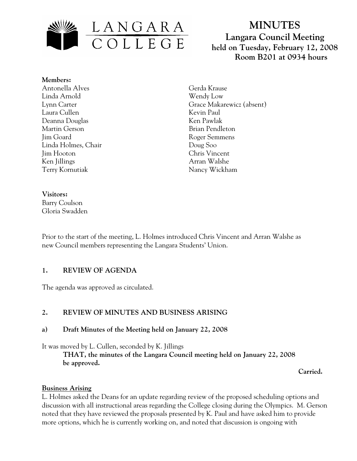

# **MINUTES Langara Council Meeting held on Tuesday, February 12, 2008 Room B201 at 0934 hours**

#### **Members:**

Antonella Alves Linda Arnold Lynn Carter Laura Cullen Deanna Douglas Martin Gerson Jim Goard Linda Holmes, Chair Jim Hooton Ken Jillings Terry Kornutiak

Gerda Krause Wendy Low Grace Makarewicz (absent) Kevin Paul Ken Pawlak Brian Pendleton Roger Semmens Doug Soo Chris Vincent Arran Walshe Nancy Wickham

#### **Visitors:**

Barry Coulson Gloria Swadden

Prior to the start of the meeting, L. Holmes introduced Chris Vincent and Arran Walshe as new Council members representing the Langara Students' Union.

#### **1. REVIEW OF AGENDA**

The agenda was approved as circulated.

### **2. REVIEW OF MINUTES AND BUSINESS ARISING**

#### **a) Draft Minutes of the Meeting held on January 22, 2008**

It was moved by L. Cullen, seconded by K. Jillings

**THAT, the minutes of the Langara Council meeting held on January 22, 2008 be approved.** 

 **Carried.** 

#### **Business Arising**

L. Holmes asked the Deans for an update regarding review of the proposed scheduling options and discussion with all instructional areas regarding the College closing during the Olympics. M. Gerson noted that they have reviewed the proposals presented by K. Paul and have asked him to provide more options, which he is currently working on, and noted that discussion is ongoing with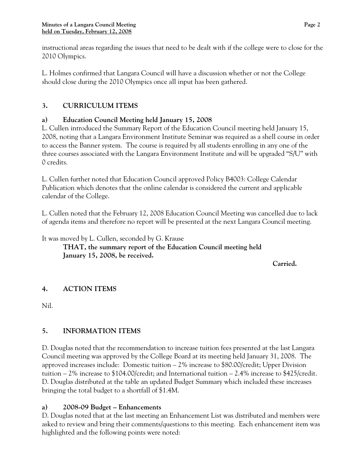instructional areas regarding the issues that need to be dealt with if the college were to close for the 2010 Olympics.

L. Holmes confirmed that Langara Council will have a discussion whether or not the College should close during the 2010 Olympics once all input has been gathered.

## **3. CURRICULUM ITEMS**

### **a) Education Council Meeting held January 15, 2008**

L. Cullen introduced the Summary Report of the Education Council meeting held January 15, 2008, noting that a Langara Environment Institute Seminar was required as a shell course in order to access the Banner system. The course is required by all students enrolling in any one of the three courses associated with the Langara Environment Institute and will be upgraded "S/U" with 0 credits.

L. Cullen further noted that Education Council approved Policy B4003: College Calendar Publication which denotes that the online calendar is considered the current and applicable calendar of the College.

L. Cullen noted that the February 12, 2008 Education Council Meeting was cancelled due to lack of agenda items and therefore no report will be presented at the next Langara Council meeting.

It was moved by L. Cullen, seconded by G. Krause

**THAT, the summary report of the Education Council meeting held January 15, 2008, be received.** 

*Carried. Carried.* 

### **4. ACTION ITEMS**

Nil.

# **5. INFORMATION ITEMS**

D. Douglas noted that the recommendation to increase tuition fees presented at the last Langara Council meeting was approved by the College Board at its meeting held January 31, 2008. The approved increases include: Domestic tuition – 2% increase to \$80.00/credit; Upper Division tuition – 2% increase to \$104.00/credit; and International tuition – 2.4% increase to \$425/credit. D. Douglas distributed at the table an updated Budget Summary which included these increases bringing the total budget to a shortfall of \$1.4M.

### **a) 2008-09 Budget – Enhancements**

D. Douglas noted that at the last meeting an Enhancement List was distributed and members were asked to review and bring their comments/questions to this meeting. Each enhancement item was highlighted and the following points were noted: